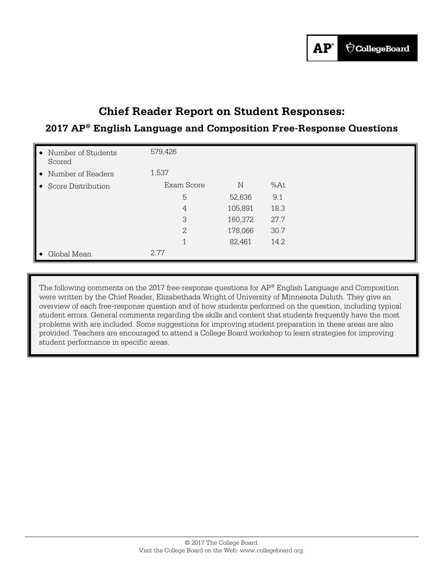# **Chief Reader Report on Student Responses:**

## **2017 AP® English Language and Composition Free-Response Questions**

| • Number of Students<br>Scored | 579,426        |             |      |  |
|--------------------------------|----------------|-------------|------|--|
| • Number of Readers            | 1,537          |             |      |  |
| • Score Distribution           | Exam Score     | $\mathbb N$ | %At  |  |
|                                | 5              | 52,636      | 9.1  |  |
|                                | 4              | 105,891     | 18.3 |  |
|                                | 3              | 160,372     | 27.7 |  |
|                                | $\overline{2}$ | 178,066     | 30.7 |  |
|                                | 1              | 82,461      | 14.2 |  |
| Global Mean                    | 2.77           |             |      |  |

The following comments on the 2017 free-response questions for AP<sup>®</sup> English Language and Composition were written by the Chief Reader, Elizabethada Wright of University of Minnesota Duluth. They give an overview of each free-response question and of how students performed on the question, including typical student errors. General comments regarding the skills and content that students frequently have the most problems with are included. Some suggestions for improving student preparation in these areas are also provided. Teachers are encouraged to attend a College Board workshop to learn strategies for improving student performance in specific areas.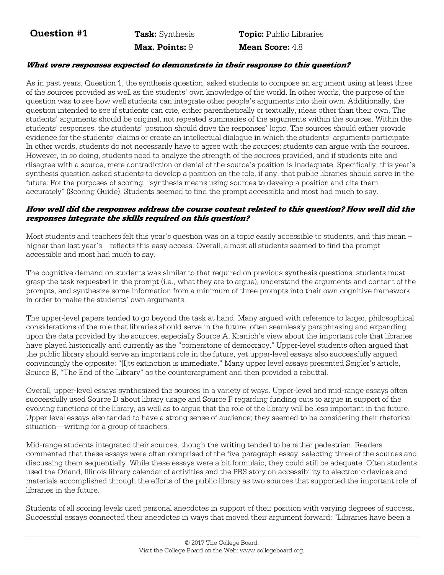**Question #1** Task: Synthesis Topic: Public Libraries **Max. Points: 9 Mean Score: 4.8** 

#### **What were responses expected to demonstrate in their response to this question?**

As in past years, Question 1, the synthesis question, asked students to compose an argument using at least three of the sources provided as well as the students' own knowledge of the world. In other words, the purpose of the question was to see how well students can integrate other people's arguments into their own. Additionally, the question intended to see if students can cite, either parenthetically or textually, ideas other than their own. The students' arguments should be original, not repeated summaries of the arguments within the sources. Within the students' responses, the students' position should drive the responses' logic. The sources should either provide evidence for the students' claims or create an intellectual dialogue in which the students' arguments participate. In other words, students do not necessarily have to agree with the sources; students can argue with the sources. However, in so doing, students need to analyze the strength of the sources provided, and if students cite and disagree with a source, mere contradiction or denial of the source's position is inadequate. Specifically, this year's synthesis question asked students to develop a position on the role, if any, that public libraries should serve in the future. For the purposes of scoring, "synthesis means using sources to develop a position and cite them accurately" (Scoring Guide). Students seemed to find the prompt accessible and most had much to say.

#### **How well did the responses address the course content related to this question? How well did the responses integrate the skills required on this question?**

Most students and teachers felt this year's question was on a topic easily accessible to students, and this mean – higher than last year's—reflects this easy access. Overall, almost all students seemed to find the prompt accessible and most had much to say.

The cognitive demand on students was similar to that required on previous synthesis questions: students must grasp the task requested in the prompt (i.e., what they are to argue), understand the arguments and content of the prompts, and synthesize some information from a minimum of three prompts into their own cognitive framework in order to make the students' own arguments.

The upper-level papers tended to go beyond the task at hand. Many argued with reference to larger, philosophical considerations of the role that libraries should serve in the future, often seamlessly paraphrasing and expanding upon the data provided by the sources, especially Source A, Kranich's view about the important role that libraries have played historically and currently as the "cornerstone of democracy." Upper-level students often argued that the public library should serve an important role in the future, yet upper-level essays also successfully argued convincingly the opposite: "[I]ts extinction is immediate." Many upper level essays presented Seigler's article, Source E, "The End of the Library" as the counterargument and then provided a rebuttal.

Overall, upper-level essays synthesized the sources in a variety of ways. Upper-level and mid-range essays often successfully used Source D about library usage and Source F regarding funding cuts to argue in support of the evolving functions of the library, as well as to argue that the role of the library will be less important in the future. Upper-level essays also tended to have a strong sense of audience; they seemed to be considering their rhetorical situation—writing for a group of teachers.

Mid-range students integrated their sources, though the writing tended to be rather pedestrian. Readers commented that these essays were often comprised of the five-paragraph essay, selecting three of the sources and discussing them sequentially. While these essays were a bit formulaic, they could still be adequate. Often students used the Orland, Illinois library calendar of activities and the PBS story on accessibility to electronic devices and materials accomplished through the efforts of the public library as two sources that supported the important role of libraries in the future.

Students of all scoring levels used personal anecdotes in support of their position with varying degrees of success. Successful essays connected their anecdotes in ways that moved their argument forward: "Libraries have been a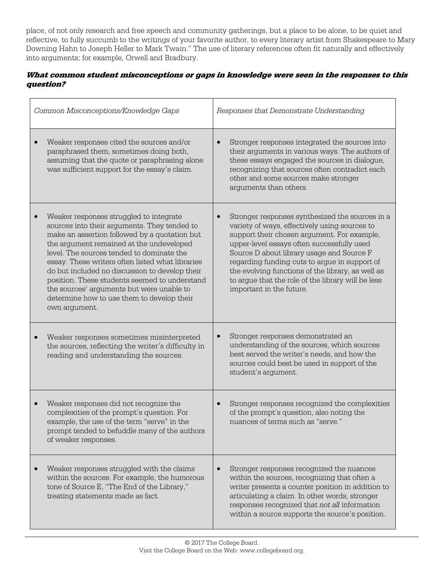place, of not only research and free speech and community gatherings, but a place to be alone, to be quiet and reflective, to fully succumb to the writings of your favorite author, to every literary artist from Shakespeare to Mary Downing Hahn to Joseph Heller to Mark Twain." The use of literary references often fit naturally and effectively into arguments; for example, Orwell and Bradbury.

### **What common student misconceptions or gaps in knowledge were seen in the responses to this question?**

| Common Misconceptions/Knowledge Gaps                                                                                                                                                                                                                                                                                                                                                                                                                                                                              | Responses that Demonstrate Understanding                                                                                                                                                                                                                                                                                                                                                                                           |  |
|-------------------------------------------------------------------------------------------------------------------------------------------------------------------------------------------------------------------------------------------------------------------------------------------------------------------------------------------------------------------------------------------------------------------------------------------------------------------------------------------------------------------|------------------------------------------------------------------------------------------------------------------------------------------------------------------------------------------------------------------------------------------------------------------------------------------------------------------------------------------------------------------------------------------------------------------------------------|--|
| Weaker responses cited the sources and/or<br>paraphrased them, sometimes doing both,<br>assuming that the quote or paraphrasing alone<br>was sufficient support for the essay's claim.                                                                                                                                                                                                                                                                                                                            | Stronger responses integrated the sources into<br>their arguments in various ways. The authors of<br>these essays engaged the sources in dialogue,<br>recognizing that sources often contradict each<br>other and some sources make stronger<br>arguments than others.                                                                                                                                                             |  |
| Weaker responses struggled to integrate<br>$\bullet$<br>sources into their arguments. They tended to<br>make an assertion followed by a quotation but<br>the argument remained at the undeveloped<br>level. The sources tended to dominate the<br>essay. These writers often listed what libraries<br>do but included no discussion to develop their<br>position. These students seemed to understand<br>the sources' arguments but were unable to<br>determine how to use them to develop their<br>own argument. | Stronger responses synthesized the sources in a<br>variety of ways, effectively using sources to<br>support their chosen argument. For example,<br>upper-level essays often successfully used<br>Source D about library usage and Source F<br>regarding funding cuts to argue in support of<br>the evolving functions of the library, as well as<br>to argue that the role of the library will be less<br>important in the future. |  |
| Weaker responses sometimes misinterpreted<br>the sources, reflecting the writer's difficulty in<br>reading and understanding the sources.                                                                                                                                                                                                                                                                                                                                                                         | Stronger responses demonstrated an<br>understanding of the sources, which sources<br>best served the writer's needs, and how the<br>sources could best be used in support of the<br>student's argument.                                                                                                                                                                                                                            |  |
| Weaker responses did not recognize the<br>$\bullet$<br>complexities of the prompt's question. For<br>example, the use of the term "serve" in the<br>prompt tended to befuddle many of the authors<br>of weaker responses.                                                                                                                                                                                                                                                                                         | Stronger responses recognized the complexities<br>of the prompt's question, also noting the<br>nuances of terms such as "serve."                                                                                                                                                                                                                                                                                                   |  |
| Weaker responses struggled with the claims<br>within the sources. For example, the humorous<br>tone of Source E, "The End of the Library,"<br>treating statements made as fact.                                                                                                                                                                                                                                                                                                                                   | Stronger responses recognized the nuances<br>within the sources, recognizing that often a<br>writer presents a counter position in addition to<br>articulating a claim. In other words, stronger<br>responses recognized that not all information<br>within a source supports the source's position.                                                                                                                               |  |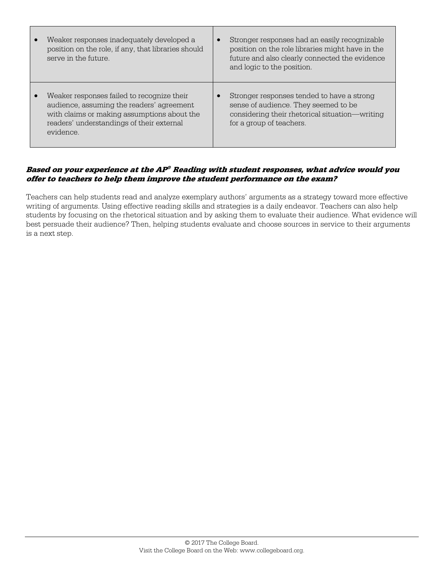| Weaker responses inadequately developed a<br>position on the role, if any, that libraries should<br>serve in the future.                                                                         | $\bullet$ | Stronger responses had an easily recognizable<br>position on the role libraries might have in the<br>future and also clearly connected the evidence<br>and logic to the position. |
|--------------------------------------------------------------------------------------------------------------------------------------------------------------------------------------------------|-----------|-----------------------------------------------------------------------------------------------------------------------------------------------------------------------------------|
| Weaker responses failed to recognize their<br>audience, assuming the readers' agreement<br>with claims or making assumptions about the<br>readers' understandings of their external<br>evidence. |           | Stronger responses tended to have a strong<br>sense of audience. They seemed to be<br>considering their rhetorical situation—writing<br>for a group of teachers.                  |

#### **Based on your experience at the AP® Reading with student responses, what advice would you offer to teachers to help them improve the student performance on the exam?**

Teachers can help students read and analyze exemplary authors' arguments as a strategy toward more effective writing of arguments. Using effective reading skills and strategies is a daily endeavor. Teachers can also help students by focusing on the rhetorical situation and by asking them to evaluate their audience. What evidence will best persuade their audience? Then, helping students evaluate and choose sources in service to their arguments is a next step.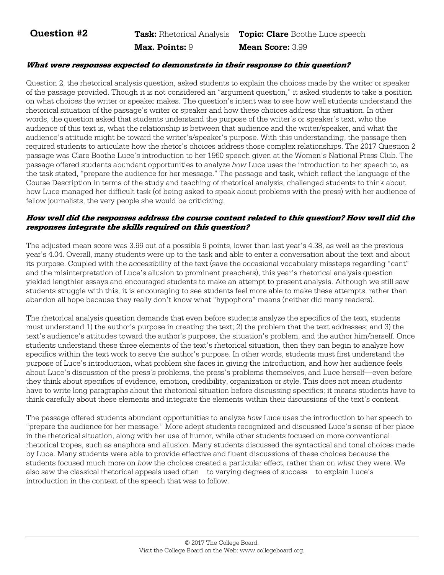**Question #2** Task: Rhetorical Analysis Topic: Clare Boothe Luce speech

 **Max. Points:** 9 **Mean Score:** 3.99

#### **What were responses expected to demonstrate in their response to this question?**

Question 2, the rhetorical analysis question, asked students to explain the choices made by the writer or speaker of the passage provided. Though it is not considered an "argument question," it asked students to take a position on what choices the writer or speaker makes. The question's intent was to see how well students understand the rhetorical situation of the passage's writer or speaker and how these choices address this situation. In other words, the question asked that students understand the purpose of the writer's or speaker's text, who the audience of this text is, what the relationship is between that audience and the writer/speaker, and what the audience's attitude might be toward the writer's/speaker's purpose. With this understanding, the passage then required students to articulate how the rhetor's choices address those complex relationships. The 2017 Question 2 passage was Clare Boothe Luce's introduction to her 1960 speech given at the Women's National Press Club. The passage offered students abundant opportunities to analyze *how* Luce uses the introduction to her speech to, as the task stated, "prepare the audience for her message." The passage and task, which reflect the language of the Course Description in terms of the study and teaching of rhetorical analysis, challenged students to think about how Luce managed her difficult task (of being asked to speak about problems with the press) with her audience of fellow journalists, the very people she would be criticizing.

#### **How well did the responses address the course content related to this question? How well did the responses integrate the skills required on this question?**

The adjusted mean score was 3.99 out of a possible 9 points, lower than last year's 4.38, as well as the previous year's 4.04. Overall, many students were up to the task and able to enter a conversation about the text and about its purpose. Coupled with the accessibility of the text (save the occasional vocabulary missteps regarding "cant" and the misinterpretation of Luce's allusion to prominent preachers), this year's rhetorical analysis question yielded lengthier essays and encouraged students to make an attempt to present analysis. Although we still saw students struggle with this, it is encouraging to see students feel more able to make these attempts, rather than abandon all hope because they really don't know what "hypophora" means (neither did many readers).

The rhetorical analysis question demands that even before students analyze the specifics of the text, students must understand 1) the author's purpose in creating the text; 2) the problem that the text addresses; and 3) the text's audience's attitudes toward the author's purpose, the situation's problem, and the author him/herself. Once students understand these three elements of the text's rhetorical situation, then they can begin to analyze how specifics within the text work to serve the author's purpose. In other words, students must first understand the purpose of Luce's introduction, what problem she faces in giving the introduction, and how her audience feels about Luce's discussion of the press's problems, the press's problems themselves, and Luce herself—even before they think about specifics of evidence, emotion, credibility, organization or style. This does not mean students have to write long paragraphs about the rhetorical situation before discussing specifics; it means students have to think carefully about these elements and integrate the elements within their discussions of the text's content.

The passage offered students abundant opportunities to analyze *how* Luce uses the introduction to her speech to "prepare the audience for her message." More adept students recognized and discussed Luce's sense of her place in the rhetorical situation, along with her use of humor, while other students focused on more conventional rhetorical tropes, such as anaphora and allusion. Many students discussed the syntactical and tonal choices made by Luce. Many students were able to provide effective and fluent discussions of these choices because the students focused much more on *how* the choices created a particular effect, rather than on *what* they were. We also saw the classical rhetorical appeals used often—to varying degrees of success—to explain Luce's introduction in the context of the speech that was to follow.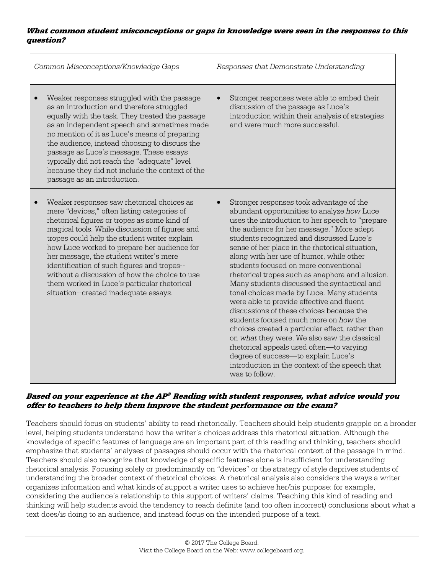#### **What common student misconceptions or gaps in knowledge were seen in the responses to this question?**

| Common Misconceptions/Knowledge Gaps                                                                                                                                                                                                                                                                                                                                                                                                                                                                                         | Responses that Demonstrate Understanding                                                                                                                                                                                                                                                                                                                                                                                                                                                                                                                                                                                                                                                                                                                                                                                                                                                                                             |  |
|------------------------------------------------------------------------------------------------------------------------------------------------------------------------------------------------------------------------------------------------------------------------------------------------------------------------------------------------------------------------------------------------------------------------------------------------------------------------------------------------------------------------------|--------------------------------------------------------------------------------------------------------------------------------------------------------------------------------------------------------------------------------------------------------------------------------------------------------------------------------------------------------------------------------------------------------------------------------------------------------------------------------------------------------------------------------------------------------------------------------------------------------------------------------------------------------------------------------------------------------------------------------------------------------------------------------------------------------------------------------------------------------------------------------------------------------------------------------------|--|
| Weaker responses struggled with the passage<br>as an introduction and therefore struggled<br>equally with the task. They treated the passage<br>as an independent speech and sometimes made<br>no mention of it as Luce's means of preparing<br>the audience, instead choosing to discuss the<br>passage as Luce's message. These essays<br>typically did not reach the "adequate" level<br>because they did not include the context of the<br>passage as an introduction.                                                   | Stronger responses were able to embed their<br>$\bullet$<br>discussion of the passage as Luce's<br>introduction within their analysis of strategies<br>and were much more successful.                                                                                                                                                                                                                                                                                                                                                                                                                                                                                                                                                                                                                                                                                                                                                |  |
| Weaker responses saw rhetorical choices as<br>mere "devices," often listing categories of<br>rhetorical figures or tropes as some kind of<br>magical tools. While discussion of figures and<br>tropes could help the student writer explain<br>how Luce worked to prepare her audience for<br>her message, the student writer's mere<br>identification of such figures and tropes--<br>without a discussion of how the choice to use<br>them worked in Luce's particular rhetorical<br>situation--created inadequate essays. | Stronger responses took advantage of the<br>$\bullet$<br>abundant opportunities to analyze how Luce<br>uses the introduction to her speech to "prepare<br>the audience for her message." More adept<br>students recognized and discussed Luce's<br>sense of her place in the rhetorical situation,<br>along with her use of humor, while other<br>students focused on more conventional<br>rhetorical tropes such as anaphora and allusion.<br>Many students discussed the syntactical and<br>tonal choices made by Luce. Many students<br>were able to provide effective and fluent<br>discussions of these choices because the<br>students focused much more on how the<br>choices created a particular effect, rather than<br>on what they were. We also saw the classical<br>rhetorical appeals used often-to varying<br>degree of success-to explain Luce's<br>introduction in the context of the speech that<br>was to follow. |  |

#### **Based on your experience at the AP® Reading with student responses, what advice would you offer to teachers to help them improve the student performance on the exam?**

Teachers should focus on students' ability to read rhetorically. Teachers should help students grapple on a broader level, helping students understand how the writer's choices address this rhetorical situation. Although the knowledge of specific features of language are an important part of this reading and thinking, teachers should emphasize that students' analyses of passages should occur with the rhetorical context of the passage in mind. Teachers should also recognize that knowledge of specific features alone is insufficient for understanding rhetorical analysis. Focusing solely or predominantly on "devices" or the strategy of style deprives students of understanding the broader context of rhetorical choices. A rhetorical analysis also considers the ways a writer organizes information and what kinds of support a writer uses to achieve her/his purpose: for example, considering the audience's relationship to this support of writers' claims. Teaching this kind of reading and thinking will help students avoid the tendency to reach definite (and too often incorrect) conclusions about what a text does/is doing to an audience, and instead focus on the intended purpose of a text.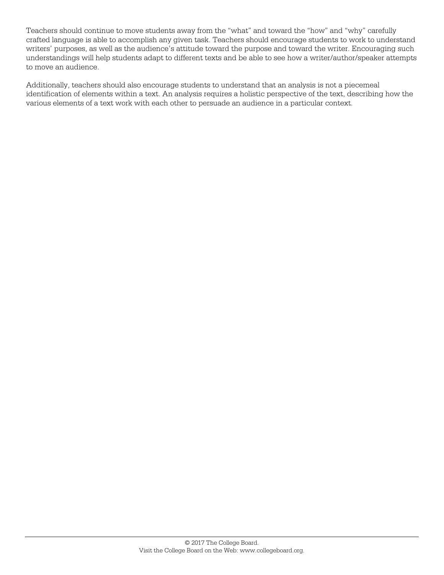Teachers should continue to move students away from the "what" and toward the "how" and "why" carefully crafted language is able to accomplish any given task. Teachers should encourage students to work to understand writers' purposes, as well as the audience's attitude toward the purpose and toward the writer. Encouraging such understandings will help students adapt to different texts and be able to see how a writer/author/speaker attempts to move an audience.

Additionally, teachers should also encourage students to understand that an analysis is not a piecemeal identification of elements within a text. An analysis requires a holistic perspective of the text, describing how the various elements of a text work with each other to persuade an audience in a particular context.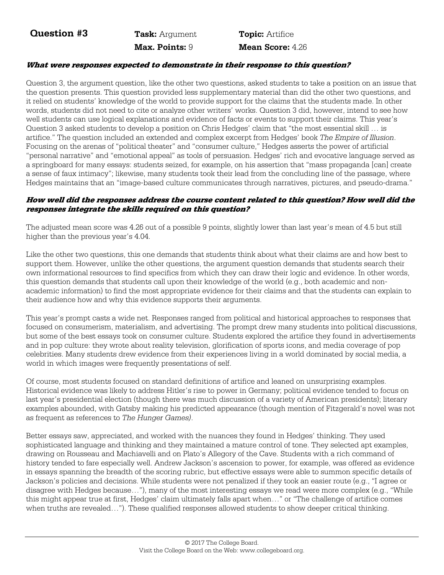**Question #3** Task: Argument Topic: Artifice

 **Max. Points:** 9 **Mean Score:** 4.26

#### **What were responses expected to demonstrate in their response to this question?**

Question 3, the argument question, like the other two questions, asked students to take a position on an issue that the question presents. This question provided less supplementary material than did the other two questions, and it relied on students' knowledge of the world to provide support for the claims that the students made. In other words, students did not need to cite or analyze other writers' works. Question 3 did, however, intend to see how well students can use logical explanations and evidence of facts or events to support their claims. This year's Question 3 asked students to develop a position on Chris Hedges' claim that "the most essential skill … is artifice." The question included an extended and complex excerpt from Hedges' book *The Empire of Illusion*. Focusing on the arenas of "political theater" and "consumer culture," Hedges asserts the power of artificial "personal narrative" and "emotional appeal" as tools of persuasion. Hedges' rich and evocative language served as a springboard for many essays: students seized, for example, on his assertion that "mass propaganda [can] create a sense of faux intimacy"; likewise, many students took their lead from the concluding line of the passage, where Hedges maintains that an "image-based culture communicates through narratives, pictures, and pseudo-drama."

#### **How well did the responses address the course content related to this question? How well did the responses integrate the skills required on this question?**

The adjusted mean score was 4.26 out of a possible 9 points, slightly lower than last year's mean of 4.5 but still higher than the previous year's 4.04.

Like the other two questions, this one demands that students think about what their claims are and how best to support them. However, unlike the other questions, the argument question demands that students search their own informational resources to find specifics from which they can draw their logic and evidence. In other words, this question demands that students call upon their knowledge of the world (e.g., both academic and nonacademic information) to find the most appropriate evidence for their claims and that the students can explain to their audience how and why this evidence supports their arguments.

This year's prompt casts a wide net. Responses ranged from political and historical approaches to responses that focused on consumerism, materialism, and advertising. The prompt drew many students into political discussions, but some of the best essays took on consumer culture. Students explored the artifice they found in advertisements and in pop culture: they wrote about reality television, glorification of sports icons, and media coverage of pop celebrities. Many students drew evidence from their experiences living in a world dominated by social media, a world in which images were frequently presentations of self.

Of course, most students focused on standard definitions of artifice and leaned on unsurprising examples. Historical evidence was likely to address Hitler's rise to power in Germany; political evidence tended to focus on last year's presidential election (though there was much discussion of a variety of American presidents); literary examples abounded, with Gatsby making his predicted appearance (though mention of Fitzgerald's novel was not as frequent as references to *The Hunger Games)*.

Better essays saw, appreciated, and worked with the nuances they found in Hedges' thinking. They used sophisticated language and thinking and they maintained a mature control of tone. They selected apt examples, drawing on Rousseau and Machiavelli and on Plato's Allegory of the Cave. Students with a rich command of history tended to fare especially well. Andrew Jackson's ascension to power, for example, was offered as evidence in essays spanning the breadth of the scoring rubric, but effective essays were able to summon specific details of Jackson's policies and decisions. While students were not penalized if they took an easier route (e.g., "I agree or disagree with Hedges because…"), many of the most interesting essays we read were more complex (e.g., "While this might appear true at first, Hedges' claim ultimately falls apart when…" or "The challenge of artifice comes when truths are revealed..."). These qualified responses allowed students to show deeper critical thinking.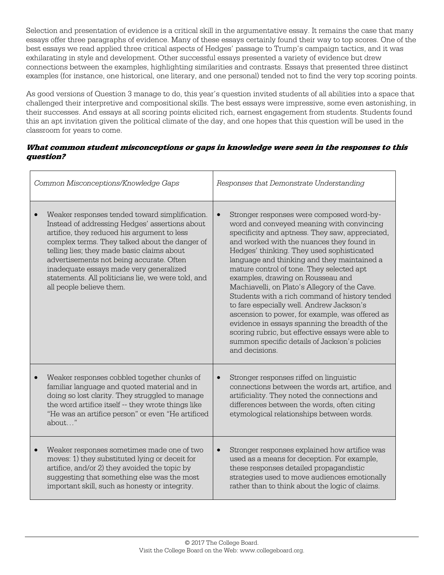Selection and presentation of evidence is a critical skill in the argumentative essay. It remains the case that many essays offer three paragraphs of evidence. Many of these essays certainly found their way to top scores. One of the best essays we read applied three critical aspects of Hedges' passage to Trump's campaign tactics, and it was exhilarating in style and development. Other successful essays presented a variety of evidence but drew connections between the examples, highlighting similarities and contrasts. Essays that presented three distinct examples (for instance, one historical, one literary, and one personal) tended not to find the very top scoring points.

As good versions of Question 3 manage to do, this year's question invited students of all abilities into a space that challenged their interpretive and compositional skills. The best essays were impressive, some even astonishing, in their successes. And essays at all scoring points elicited rich, earnest engagement from students. Students found this an apt invitation given the political climate of the day, and one hopes that this question will be used in the classroom for years to come.

#### **What common student misconceptions or gaps in knowledge were seen in the responses to this question?**

| Common Misconceptions/Knowledge Gaps                                                                                                                                                                                                                                                                                                                                                                                     | Responses that Demonstrate Understanding                                                                                                                                                                                                                                                                                                                                                                                                                                                                                                                                                                                                                                                                                                                       |  |  |
|--------------------------------------------------------------------------------------------------------------------------------------------------------------------------------------------------------------------------------------------------------------------------------------------------------------------------------------------------------------------------------------------------------------------------|----------------------------------------------------------------------------------------------------------------------------------------------------------------------------------------------------------------------------------------------------------------------------------------------------------------------------------------------------------------------------------------------------------------------------------------------------------------------------------------------------------------------------------------------------------------------------------------------------------------------------------------------------------------------------------------------------------------------------------------------------------------|--|--|
| Weaker responses tended toward simplification.<br>Instead of addressing Hedges' assertions about<br>artifice, they reduced his argument to less<br>complex terms. They talked about the danger of<br>telling lies; they made basic claims about<br>advertisements not being accurate. Often<br>inadequate essays made very generalized<br>statements. All politicians lie, we were told, and<br>all people believe them. | Stronger responses were composed word-by-<br>$\bullet$<br>word and conveyed meaning with convincing<br>specificity and aptness. They saw, appreciated,<br>and worked with the nuances they found in<br>Hedges' thinking. They used sophisticated<br>language and thinking and they maintained a<br>mature control of tone. They selected apt<br>examples, drawing on Rousseau and<br>Machiavelli, on Plato's Allegory of the Cave.<br>Students with a rich command of history tended<br>to fare especially well. Andrew Jackson's<br>ascension to power, for example, was offered as<br>evidence in essays spanning the breadth of the<br>scoring rubric, but effective essays were able to<br>summon specific details of Jackson's policies<br>and decisions. |  |  |
| Weaker responses cobbled together chunks of<br>familiar language and quoted material and in<br>doing so lost clarity. They struggled to manage<br>the word artifice itself -- they wrote things like<br>"He was an artifice person" or even "He artificed<br>about"                                                                                                                                                      | Stronger responses riffed on linguistic<br>$\bullet$<br>connections between the words art, artifice, and<br>artificiality. They noted the connections and<br>differences between the words, often citing<br>etymological relationships between words.                                                                                                                                                                                                                                                                                                                                                                                                                                                                                                          |  |  |
| Weaker responses sometimes made one of two<br>moves: 1) they substituted lying or deceit for<br>artifice, and/or 2) they avoided the topic by<br>suggesting that something else was the most<br>important skill, such as honesty or integrity.                                                                                                                                                                           | Stronger responses explained how artifice was<br>$\bullet$<br>used as a means for deception. For example,<br>these responses detailed propagandistic<br>strategies used to move audiences emotionally<br>rather than to think about the logic of claims.                                                                                                                                                                                                                                                                                                                                                                                                                                                                                                       |  |  |